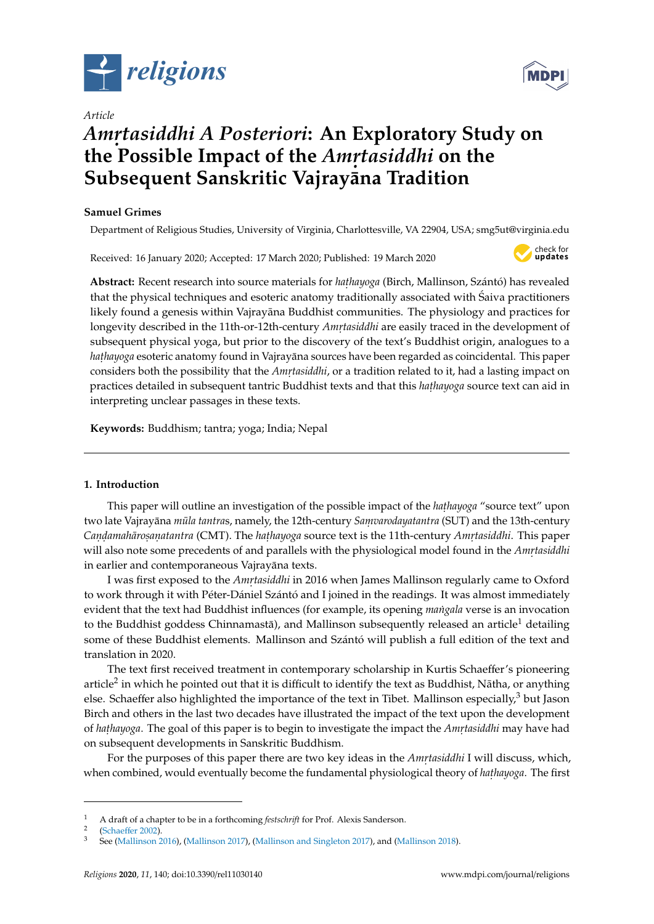

*Article*

# *Amr. tasiddhi A Posteriori***: An Exploratory Study on the Possible Impact of the** *Amrtasiddhi* **on the Subsequent Sanskritic Vajrayana Tradition**

## **Samuel Grimes**

Department of Religious Studies, University of Virginia, Charlottesville, VA 22904, USA; smg5ut@virginia.edu

Received: 16 January 2020; Accepted: 17 March 2020; Published: 19 March 2020



Abstract: Recent research into source materials for *hathayoga* (Birch, Mallinson, Szántó) has revealed that the physical techniques and esoteric anatomy traditionally associated with Saiva practitioners likely found a genesis within Vajrayāna Buddhist communities. The physiology and practices for longevity described in the 11th-or-12th-century *Amṛtasiddhi* are easily traced in the development of subsequent physical yoga, but prior to the discovery of the text's Buddhist origin, analogues to a *hathayoga* esoteric anatomy found in Vajrayāna sources have been regarded as coincidental. This paper considers both the possibility that the *Amrٖtasiddhi,* or a tradition related to it, had a lasting impact on practices detailed in subsequent tantric Buddhist texts and that this *hathayoga* source text can aid in interpreting unclear passages in these texts.

**Keywords:** Buddhism; tantra; yoga; India; Nepal

### **1. Introduction**

This paper will outline an investigation of the possible impact of the *hathayoga* "source text" upon two late Vajrayāna *mūla tantras*, namely, the 12th-century *Samvarodayatantra* (SUT) and the 13th-century  $\emph{Canqamah\~arosanatantra (CMT).}$  The *hathayoga* source text is the 11th-century *Amrtasiddhi*. This paper will also note some precedents of and parallels with the physiological model found in the *Amrtasiddhi* in earlier and contemporaneous Vajrayāna texts.

I was first exposed to the *Amṛtasiddhi* in 2016 when James Mallinson regularly came to Oxford to work through it with Péter-Dániel Szántó and I joined in the readings. It was almost immediately evident that the text had Buddhist influences (for example, its opening *mangala ˙* verse is an invocation to the Buddhist goddess Chinnamastā), and Mallinson subsequently released an article<sup>1</sup> detailing some of these Buddhist elements. Mallinson and Szántó will publish a full edition of the text and translation in 2020.

The text first received treatment in contemporary scholarship in Kurtis Schaeffer's pioneering article<sup>2</sup> in which he pointed out that it is difficult to identify the text as Buddhist, Nātha, or anything else. Schaeffer also highlighted the importance of the text in Tibet. Mallinson especially, $3$  but Jason Birch and others in the last two decades have illustrated the impact of the text upon the development of *haṭhayoga*. The goal of this paper is to begin to investigate the impact the *Amṛtasiddhi* may have had on subsequent developments in Sanskritic Buddhism.

For the purposes of this paper there are two key ideas in the *Amrtasiddhi* I will discuss, which, when combined, would eventually become the fundamental physiological theory of *hathayoga*. The first



<sup>1</sup> A draft of a chapter to be in a forthcoming *festschrift* for Prof. Alexis Sanderson.

<sup>2</sup> [\(Schae](#page-8-0)ffer [2002\)](#page-8-0).

<sup>3</sup> See [\(Mallinson](#page-8-1) [2016\)](#page-8-1), [\(Mallinson](#page-8-2) [2017\)](#page-8-2), [\(Mallinson and Singleton](#page-8-3) [2017\)](#page-8-3), and [\(Mallinson](#page-8-4) [2018\)](#page-8-4).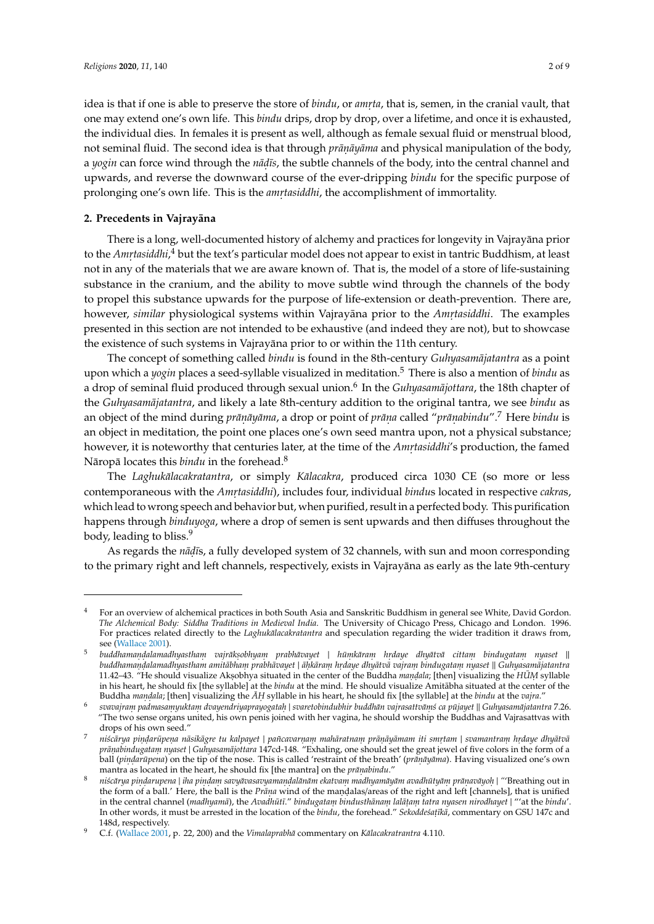idea is that if one is able to preserve the store of *bindu,* or *amrta,* that is, semen, in the cranial vault, that one may extend one's own life. This *bindu* drips, drop by drop, over a lifetime, and once it is exhausted, the individual dies. In females it is present as well, although as female sexual fluid or menstrual blood, not seminal fluid. The second idea is that through *prāṇāyāma* and physical manipulation of the body, a *yogin* can force wind through the *nāḍīs*, the subtle channels of the body, into the central channel and upwards, and reverse the downward course of the ever-dripping *bindu* for the specific purpose of prolonging one's own life. This is the *amrtasiddhi*, the accomplishment of immortality.

#### **2. Precedents in Vajrayāna**

There is a long, well-documented history of alchemy and practices for longevity in Vajrayāna prior to the *Amrtasiddhi*,<sup>4</sup> but the text's particular model does not appear to exist in tantric Buddhism, at least not in any of the materials that we are aware known of. That is, the model of a store of life-sustaining substance in the cranium, and the ability to move subtle wind through the channels of the body to propel this substance upwards for the purpose of life-extension or death-prevention. There are, however*, similar* physiological systems within Vajrayāna prior to the *Amṛtasiddhi*. The examples presented in this section are not intended to be exhaustive (and indeed they are not), but to showcase the existence of such systems in Vajrayāna prior to or within the 11th century.

The concept of something called *bindu* is found in the 8th-century *Guhyasamājatantra* as a point upon which a *yogin* places a seed-syllable visualized in meditation.<sup>5</sup> There is also a mention of *bindu* as a drop of seminal fluid produced through sexual union.<sup>6</sup> In the *Guhyasamājottara*, the 18th chapter of the *Guhyasamājatantra*, and likely a late 8th-century addition to the original tantra, we see *bindu* as an object of the mind during *prāṇāyāma*, a drop or point of *prāṇa* called "prāṇabindu".<sup>7</sup> Here bindu is an object in meditation, the point one places one's own seed mantra upon, not a physical substance; however, it is noteworthy that centuries later, at the time of the *Amr্tasiddhi'*s production, the famed Nāropā locates this *bindu* in the forehead.<sup>8</sup>

The *Laghukālacakratantra*, or simply *Kālacakra*, produced circa 1030 CE (so more or less contemporaneous with the *Amr. tasiddhi*), includes four, individual *bindu*s located in respective *cakra*s, which lead to wrong speech and behavior but, when purified, result in a perfected body. This purification happens through *binduyoga*, where a drop of semen is sent upwards and then diffuses throughout the body, leading to bliss.<sup>9</sup>

As regards the *nāḍī*s, a fully developed system of 32 channels, with sun and moon corresponding to the primary right and left channels, respectively, exists in Vajrayana as early as the late 9th-century

<sup>4</sup> For an overview of alchemical practices in both South Asia and Sanskritic Buddhism in general see White, David Gordon. *The Alchemical Body: Siddha Traditions in Medieval India*. The University of Chicago Press, Chicago and London. 1996. For practices related directly to the *Laghukalacakratantra* and speculation regarding the wider tradition it draws from, see [\(Wallace](#page-8-5) [2001\)](#page-8-5).

<sup>5</sup> buddhamandalamadhyastham vajrāksobhyam prabhāvayet | hūmkāram hrdaye dhyātvā cittam bindugatam nyaset || buddhamandalamadhyastham amitābham prabhāvayet | āḥkāraṃ hṛdaye dhyātvā vajraṃ bindugataṃ nyaset || Guhyasamājatantra 11.42–43. "He should visualize Aksobhya situated in the center of the Buddha *mandala*; [then] visualizing the *HUM* syllable in his heart, he should fix [the syllable] at the *bindu* at the mind. He should visualize Amitabha situated at the center of the Buddha *mandala*; [then] visualizing the *AH* syllable in his heart, he should fix [the syllable] at the *bindu* at the *vajra*."

<sup>6</sup> *svavajram. padmasam. yuktam. dvayendriyaprayogatah.* | *svaretobindubhir buddhan vajrasattv ¯ a¯m. ´s ca pujayet ¯* || *Guhyasamajatantra ¯* 7.26. "The two sense organs united, his own penis joined with her vagina, he should worship the Buddhas and Vajrasattvas with drops of his own seed."

 $^7$  niścārya pindarūpena nāsikāgre tu kalpayet | pañcavarnam mahāratnam prānāyāmam iti smrtam | svamantram hrdaye dhyātvā *pra¯n. abindugatam. nyaset* | *Guhyasamajottara ¯* 147cd-148. "Exhaling, one should set the great jewel of five colors in the form of a ball (*pindarūpena*) on the tip of the nose. This is called 'restraint of the breath' (*prāṇāyāma*). Having visualized one's own mantra as located in the heart, he should fix [the mantra] on the *prāṇabindu*."

 $^8$   $\,$  niścārya pindarupena | iha pindam savyāvasavyamandalānām ekatvam madhyamāyām avadhūtyām prānavāyoh | "'Breathing out in the form of a ball.' Here, the ball is the *Prāṇa* wind of the maṇḍalas/areas of the right and left [channels], that is unified in the central channel (*madhyamā*), the *Avadhūtī." bindugatam bindusthānam lalāṭam tatra nyasen nirodhayet* | "'at the *bindu'*. In other words, it must be arrested in the location of the *bindu,* the forehead." *Sekoddeśaṭīkā,* commentary on GSU 147c and 148d, respectively.

<sup>9</sup> C.f. [\(Wallace](#page-8-5) [2001,](#page-8-5) p. 22, 200) and the *Vimalaprabha¯* commentary on *Kalacakratrantra ¯* 4.110.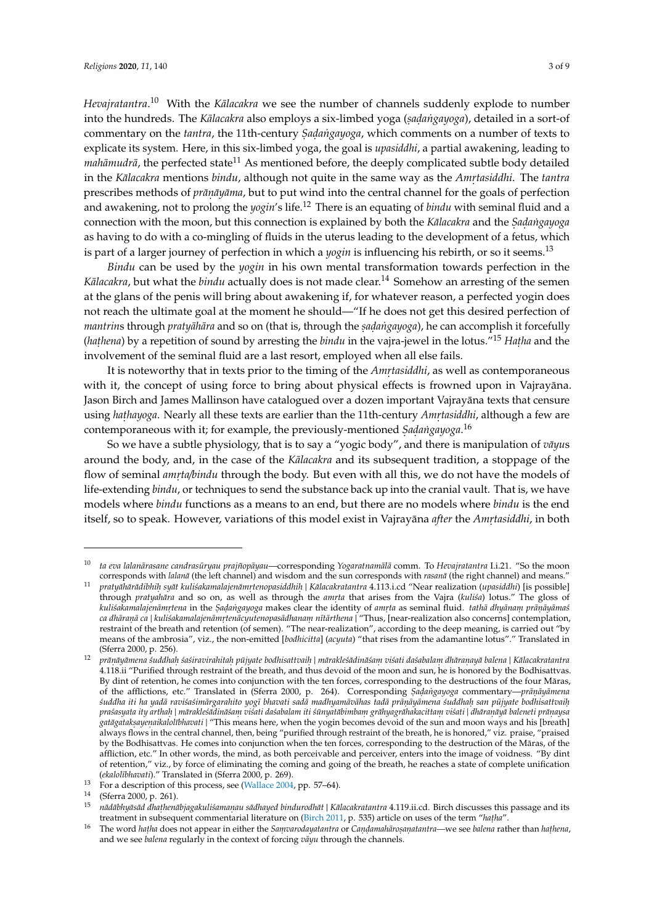*Hevajratantra*.<sup>10</sup> With the *Kālacakra* we see the number of channels suddenly explode to number into the hundreds. The *Kālacakra* also employs a six-limbed yoga (*saḍaṅgayoga*), detailed in a sort-of commentary on the *tantra*, the 11th-century *Sadangayoga*, which comments on a number of texts to explicate its system. Here, in this six-limbed yoga, the goal is *upasiddhi*, a partial awakening, leading to *mahāmudrā*, the perfected state<sup>11</sup> As mentioned before, the deeply complicated subtle body detailed in the *Kālacakra* mentions *bindu*, although not quite in the same way as the *Amrtasiddhi*. The *tantra* prescribes methods of *prāṇāyāma,* but to put wind into the central channel for the goals of perfection and awakening, not to prolong the *yogin*'s life.<sup>12</sup> There is an equating of *bindu* with seminal fluid and a connection with the moon, but this connection is explained by both the *Kālacakra* and the *Sadangayoga* as having to do with a co-mingling of fluids in the uterus leading to the development of a fetus, which is part of a larger journey of perfection in which a *yogin* is influencing his rebirth, or so it seems.<sup>13</sup>

*Bindu* can be used by the *yogin* in his own mental transformation towards perfection in the *Kālacakra*, but what the *bindu* actually does is not made clear.<sup>14</sup> Somehow an arresting of the semen at the glans of the penis will bring about awakening if, for whatever reason, a perfected yogin does not reach the ultimate goal at the moment he should—"If he does not get this desired perfection of *mantrin*s through *pratyāhāra* and so on (that is, through the *saḍaṅgayoga*), he can accomplish it forcefully (*hathena*) by a repetition of sound by arresting the *bindu* in the vajra-jewel in the lotus."<sup>15</sup> *Hatha* and the involvement of the seminal fluid are a last resort, employed when all else fails.

It is noteworthy that in texts prior to the timing of the *Amrٖtasiddhi*, as well as contemporaneous with it, the concept of using force to bring about physical effects is frowned upon in Vajrayana. Jason Birch and James Mallinson have catalogued over a dozen important Vajrayāna texts that censure using *hathayoga*. Nearly all these texts are earlier than the 11th-century *Amrtasiddhi*, although a few are contemporaneous with it; for example, the previously-mentioned *Sadangayoga*.<sup>16</sup>

So we have a subtle physiology, that is to say a "yogic body", and there is manipulation of *vāyus* around the body, and, in the case of the *Kalacakra* and its subsequent tradition, a stoppage of the flow of seminal *amrta/bindu* through the body. But even with all this, we do not have the models of life-extending *bindu*, or techniques to send the substance back up into the cranial vault. That is, we have models where *bindu* functions as a means to an end, but there are no models where *bindu* is the end itself, so to speak. However, variations of this model exist in Vajrayāna *after* the *Amrٖtasiddhi*, in both

<sup>10</sup> *ta eva lalanarasane candras ¯ uryau prajñop ¯ ayau ¯* —corresponding *Yogaratnamal¯ a¯* comm. To *Hevajratantra* I.i.21. "So the moon corresponds with *lalana*<sup> $\bar{a}$ </sup> (the left channel) and wisdom and the sun corresponds with *rasana*<sup> $\bar{a}$ </sup> (the right channel) and means."

<sup>&</sup>lt;sup>11</sup> pratyāhārādibhih syāt kuliśakamalajenāmrtenopasiddhih | Kālacakratantra 4.113.i.cd "Near realization (upasiddhi) [is possible] through *pratyahāra* and so on, as well as through the *amrta* that arises from the Vajra (*kulisa*) lotus." The gloss of kuliśakamalajenāmrtena in the Sadangayoga makes clear the identity of amrta as seminal fluid. *tathā dhyānam prāṇāyāma*s ca dhāraṇā ca | kuliśakamalajenāmṛtenācyutenopasādhanaṃ nītārthena | "Thus, [near-realization also concerns] contemplation, restraint of the breath and retention (of semen). "The near-realization", according to the deep meaning, is carried out "by means of the ambrosia", viz., the non-emitted [*bodhicitta*] (*acyuta*) "that rises from the adamantine lotus"." Translated in (Sferra 2000, p. 256).

<sup>&</sup>lt;sup>12</sup> prānāyāmena śuddhah śaśiravirahitah pūjyate bodhisattvaih | mārakleśādināśam viśati daśabalam dhāranayā balena | Kālacakratantra 4.118.ii "Purified through restraint of the breath, and thus devoid of the moon and sun, he is honored by the Bodhisattvas. By dint of retention, he comes into conjunction with the ten forces, corresponding to the destructions of the four Māras, of the afflictions, etc." Translated in (Sferra 2000, p. 264). Corresponding *Sadangayoga* commentary—*prāṇāyāmena* śuddha iti ha yadā raviśaśimārgarahito yogī bhavati sadā madhyamāvāhas tadā prāņāyāmena śuddhah san pūjyate bodhisattvaiḥ praśasyata ity arthah | mārakleśādināśam viśati daśabalam iti śūnyatābimbam grāhyagrāhakacittam viśati | dhāraṇāyā baleneti prāṇaysa g*atāgatakṣayeṇaikalolībhavati* | "This means here, when the yogin becomes devoid of the sun and moon ways and his [breath] always flows in the central channel, then, being "purified through restraint of the breath, he is honored," viz. praise, "praised by the Bodhisattvas. He comes into conjunction when the ten forces, corresponding to the destruction of the Māras, of the affliction, etc." In other words, the mind, as both perceivable and perceiver, enters into the image of voidness. "By dint of retention," viz., by force of eliminating the coming and going of the breath, he reaches a state of complete unification (*ekalol¯ıbhavati*)." Translated in (Sferra 2000, p. 269).

<sup>&</sup>lt;sup>13</sup> For a description of this process, see [\(Wallace](#page-8-6) [2004,](#page-8-6) pp. 57–64).<br><sup>14</sup> (Sferra 2000, p. 261).

<sup>&</sup>lt;sup>14</sup> (Sferra 2000, p. 261).

<sup>&</sup>lt;sup>15</sup>nādābhyāsād dhathenābjagakuliśamanau sādhayed bindurodhāt | Kālacakratantra 4.119.ii.cd. Birch discusses this passage and its treatment in subsequent commentarial literature on [\(Birch](#page-7-0) [2011,](#page-7-0) p. 535) article on uses of the term "hatha"

<sup>&</sup>lt;sup>16</sup> The word *hatha* does not appear in either the Samvarodayatantra or Candamahārosanatantra—we see balena rather than hathena, and we see *balena* regularly in the context of forcing  $v\bar{a}yu$  through the channels.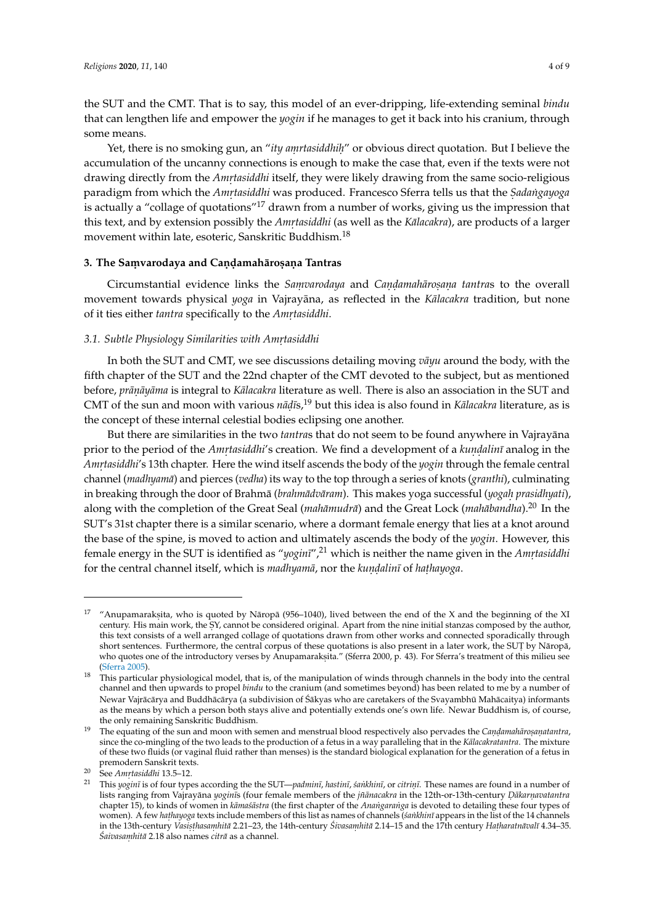the SUT and the CMT. That is to say, this model of an ever-dripping, life-extending seminal *bindu* that can lengthen life and empower the *yogin* if he manages to get it back into his cranium, through some means.

Yet, there is no smoking gun, an "*ity amrtasiddhih*" or obvious direct quotation. But I believe the accumulation of the uncanny connections is enough to make the case that, even if the texts were not drawing directly from the *Amrtasiddhi* itself, they were likely drawing from the same socio-religious paradigm from which the *Amrtasiddhi* was produced. Francesco Sferra tells us that the *Sadangayoga* is actually a "collage of quotations"<sup>17</sup> drawn from a number of works, giving us the impression that this text, and by extension possibly the *Amrtasiddhi* (as well as the *Kālacakra*), are products of a larger movement within late, esoteric, Sanskritic Buddhism.<sup>18</sup>

# **3. The Sam. varodaya and Can. d. amaharos ¯ . an. a Tantras**

Circumstantial evidence links the *Sam. varodaya* and *Can. d. amaharo ¯ s. an. a tantra*s to the overall movement towards physical *yoga* in Vajrayāna, as reflected in the *Kalacakra* tradition, but none of it ties either *tantra* specifically to the *Amrtasiddhi*.

# *3.1. Subtle Physiology Similarities with Amr. tasiddhi*

In both the SUT and CMT, we see discussions detailing moving *vayu* around the body, with the fifth chapter of the SUT and the 22nd chapter of the CMT devoted to the subject, but as mentioned before*, prāṇāyāma* is integral to *Kālacakra* literature as well. There is also an association in the SUT and CMT of the sun and moon with various *nāḍīs*,<sup>19</sup> but this idea is also found in *Kālacakra* literature, as is the concept of these internal celestial bodies eclipsing one another.

But there are similarities in the two *tantra*s that do not seem to be found anywhere in Vajrayana prior to the period of the *Amrtasiddhi'*s creation. We find a development of a *kundalinī* analog in the *Amr. tasiddhi*'s 13th chapter. Here the wind itself ascends the body of the *yogin* through the female central channel (*madhyama¯*) and pierces (*vedha*) its way to the top through a series of knots (*granthi*), culminating in breaking through the door of Brahmā (*brahmādvāram*). This makes yoga successful (*yogah prasidhyati*), along with the completion of the Great Seal (*mahāmudrā*) and the Great Lock (*mahābandha*).<sup>20</sup> In the SUT's 31st chapter there is a similar scenario, where a dormant female energy that lies at a knot around the base of the spine, is moved to action and ultimately ascends the body of the *yogin*. However, this female energy in the SUT is identified as "*yoginī*",<sup>21</sup> which is neither the name given in the *Amrtasiddhi* for the central channel itself, which is *madhyamā*, nor the *kundalinī* of *hathayoga*.

<sup>&</sup>lt;sup>17</sup> "Anupamaraksita, who is quoted by Nāropā (956–1040), lived between the end of the X and the beginning of the XI century. His main work, the SY, cannot be considered original. Apart from the nine initial stanzas composed by the author, this text consists of a well arranged collage of quotations drawn from other works and connected sporadically through short sentences. Furthermore, the central corpus of these quotations is also present in a later work, the SUT by Nāropā, who quotes one of the introductory verses by Anupamaraksita." (Sferra 2000, p. 43). For Sferra's treatment of this milieu see [\(Sferra](#page-8-7) [2005\)](#page-8-7).

<sup>&</sup>lt;sup>18</sup> This particular physiological model, that is, of the manipulation of winds through channels in the body into the central channel and then upwards to propel *bindu* to the cranium (and sometimes beyond) has been related to me by a number of Newar Vajrācārya and Buddhācārya (a subdivision of Śākyas who are caretakers of the Svayambhū Mahācaitya) informants as the means by which a person both stays alive and potentially extends one's own life. Newar Buddhism is, of course, the only remaining Sanskritic Buddhism.

<sup>&</sup>lt;sup>19</sup> The equating of the sun and moon with semen and menstrual blood respectively also pervades the *Candamahārosanatantra*, since the co-mingling of the two leads to the production of a fetus in a way paralleling that in the *Kalacakratantra*. The mixture of these two fluids (or vaginal fluid rather than menses) is the standard biological explanation for the generation of a fetus in premodern Sanskrit texts.

<sup>&</sup>lt;sup>20</sup> See *Amrtasiddhi* 13.5–12.

<sup>&</sup>lt;sup>21</sup> This *yoginī* is of four types according the the SUT—*padminī*, *hastinī*, *śankhinī*, or *citrinī*. These names are found in a number of lists ranging from Vajrayāna *yoginī*s (four female members of the *jñānacakra* in the 12th-or-13th-century *Dākarṇavatantra* chapter 15), to kinds of women in *kāmaśāstra* (the first chapter of the *Anangaranga* is devoted to detailing these four types of women). A few *hathayoga* texts include members of this list as names of channels (sankhinī appears in the list of the 14 channels in the 13th-century *Vasisthasamhitā* 2.21–23, the 14th-century Ś*ivasamhitā* 2.14–15 and the 17th century Hatharatnāvalī 4.34–35. *Saivasam ´ . hita¯* 2.18 also names *citra¯* as a channel.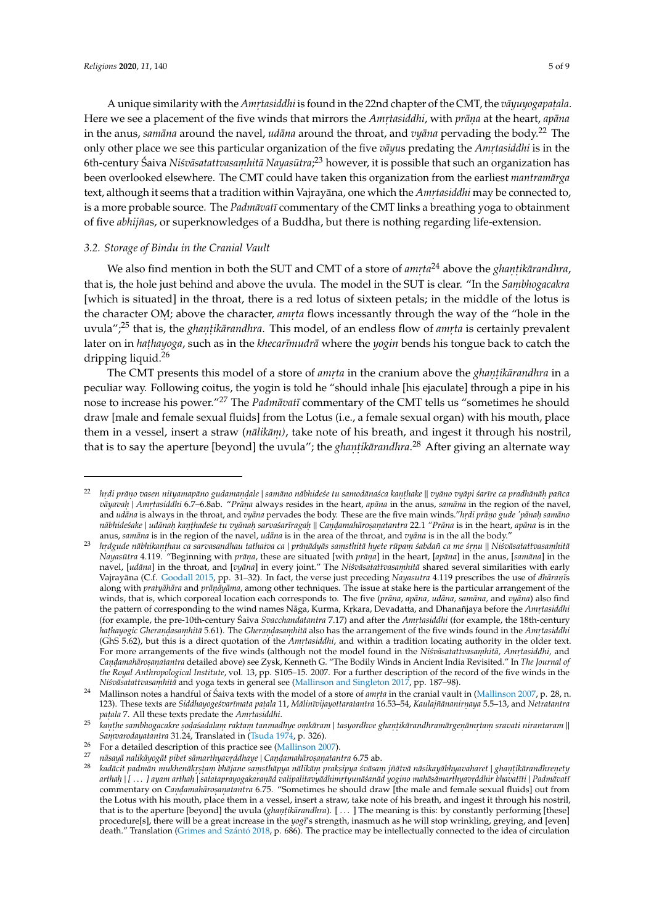A unique similarity with the *Amrtasiddhi* is found in the 22nd chapter of the CMT, the *vāyuyogapaṭala*. Here we see a placement of the five winds that mirrors the *Amrtasiddhi*, with *prāṇa* at the heart, *apāna* in the anus, *samāna* around the navel, *udāna* around the throat, and *vyāna* pervading the body.<sup>22</sup> The only other place we see this particular organization of the five *vayus* predating the *Amrtasiddhi* is in the 6th-century Saiva ´ *Ni´svasatattvasa ¯ m. hita Nayas ¯ utra ¯* ; <sup>23</sup> however, it is possible that such an organization has been overlooked elsewhere. The CMT could have taken this organization from the earliest *mantramārga* text, although it seems that a tradition within Vajrayāna, one which the *Amṛtasiddhi* may be connected to, is a more probable source. The *Padmāvatī* commentary of the CMT links a breathing yoga to obtainment of five *abhijña*s, or superknowledges of a Buddha, but there is nothing regarding life-extension.

#### *3.2. Storage of Bindu in the Cranial Vault*

We also find mention in both the SUT and CMT of a store of *amrta*<sup>24</sup> above the *ghantikārandhra*, that is, the hole just behind and above the uvula. The model in the SUT is clear. "In the *Sambhogacakra* [which is situated] in the throat, there is a red lotus of sixteen petals; in the middle of the lotus is the character OM; above the character, *amrta* flows incessantly through the way of the "hole in the uvula";<sup>25</sup> that is, the *ghantikārandhra*. This model, of an endless flow of *amrta* is certainly prevalent later on in *hathayoga*, such as in the *khecarīmudrā* where the *yogin* bends his tongue back to catch the dripping liquid.<sup>26</sup>

The CMT presents this model of a store of *amrta* in the cranium above the *ghantikārandhra* in a peculiar way. Following coitus, the yogin is told he "should inhale [his ejaculate] through a pipe in his nose to increase his power.<sup>"27</sup> The *Padmāvatī* commentary of the CMT tells us "sometimes he should draw [male and female sexual fluids] from the Lotus (i.e., a female sexual organ) with his mouth, place them in a vessel, insert a straw (*nālikām*), take note of his breath, and ingest it through his nostril, that is to say the aperture [beyond] the uvula"; the *ghanṭikārandhra*.<sup>28</sup> After giving an alternate way

<sup>&</sup>lt;sup>22</sup>hrdi prāno vasen nityamapāno gudamandale | samāno nābhideśe tu samodānaśca kanthake || vyāno vyāpi śarīre ca pradhānāh pañca *vayavah* | *Amrtasiddhi* 6.7–6.8ab. "*Prana* always resides in the heart, *apana* in the anus, *samana* in the region of the navel, and *udāna* is always in the throat, and *vyāna* pervades the body. These are the five main winds."*hrdi prāno gude 'pānah samāno* nābhideśake | udānah kaṇṭhadeśe tu vyānah sarvaśarīragaḥ || Caṇḍamahāroṣaṇatantra 22.1 "Prāna is in the heart, apāna is in the anus, *samāna* is in the region of the navel, *udāna* is in the area of the throat, and *vyāna* is in the all the body.

<sup>&</sup>lt;sup>23</sup>hrdgude nābhikanthau ca sarvasandhau tathaiva ca|prānādyās samsthitā hyete rūpam śabdañ ca me śrnu || Niśvāsatattvasamhitā *Nayasūtra* 4.119. "Beginning with *prāṇa,* these are situated [with *prāṇa*] in the heart, [*apāna*] in the anus, [samāna] in the navel, [udāna] in the throat, and [vyāna] in every joint." The Niśvāsatattvasamhitā shared several similarities with early Vajrayāna (C.f. [Goodall](#page-7-1) [2015,](#page-7-1) pp. 31–32). In fact, the verse just preceding *Nayasutra* 4.119 prescribes the use of *dhāranīs* along with *pratyāhāra* and *prāṇāyāma,* among other techniques. The issue at stake here is the particular arrangement of the winds, that is, which corporeal location each corresponds to. The five (prāna, apāna, udāna, samāna, and vyāna) also find the pattern of corresponding to the wind names Nāga, Kurma, Kṛkara, Devadatta, and Dhanañjaya before the *Amṛtasiddhi* (for example, the pre-10th-century Saiva Svacchandatantra 7.17) and after the *Amrtasiddhi* (for example, the 18th-century *hathayogic Gherandasamhitā* 5.61). The *Gherandasamhitā* also has the arrangement of the five winds found in the *Amrtasiddhi* (GhS 5.62), but this is a direct quotation of the *Amrtasiddhi*, and within a tradition locating authority in the older text. For more arrangements of the five winds (although not the model found in the *Niśvāsatattvasaṃhitā, Amṛtasiddhi,* and *Can. d. amaharo ¯ s. an. atantra* detailed above) see Zysk, Kenneth G. "The Bodily Winds in Ancient India Revisited." In *The Journal of the Royal Anthropological Institute*, vol. 13, pp. S105–15. 2007. For a further description of the record of the five winds in the *Niśvāsatattvasaṃhitā* and yoga texts in general see [\(Mallinson and Singleton](#page-8-3) [2017,](#page-8-3) pp. 187–98).

<sup>&</sup>lt;sup>24</sup> Mallinson notes a handful of Saiva texts with the model of a store of *amrta* in the cranial vault in [\(Mallinson](#page-8-8) [2007,](#page-8-8) p. 28, n. 123). These texts are *Siddhayoge´svar¯ımata pat. ala* 11, *Malin ¯ ¯ıvijayottaratantra* 16.53–54, *Kaulajñananir ¯ n. aya* 5.5–13, and *Netratantra pat. ala* 7. All these texts predate the *Amr. tasiddhi*.

<sup>&</sup>lt;sup>25</sup> kanthe sambhogacakre sodaśadalam raktam tanmadhye omkāram | tasyordhve ghantikārandhramārgenāmrtam sravati nirantaram || Samvarodayatantra 31.24, Translated in [\(Tsuda](#page-8-9) [1974,](#page-8-9) p. 326).

<sup>&</sup>lt;sup>26</sup> For a detailed description of this practice see [\(Mallinson](#page-8-8) [2007\)](#page-8-8).

<sup>&</sup>lt;sup>27</sup> nāsayā nalikāyogāt pibet sāmarthyavrddhaye | Candamahārosanatantra 6.75 ab.

<sup>&</sup>lt;sup>28</sup> kadācit padmān mukhenākrstam bhājane samsthāpya nālikām praksipya śvāsam jñātvā nāsikayābhyavaharet | ghantikārandhrenety arthah |[…] ayam arthah | satataprayogakaranād valipalitavyādhimrtyunāšanād yogino mahāsāmarthyavrddhir bhavatīti | Padmāvati commentary on *Candamahārosanatantra* 6.75. "Sometimes he should draw [the male and female sexual fluids] out from the Lotus with his mouth, place them in a vessel, insert a straw, take note of his breath, and ingest it through his nostril, that is to the aperture [beyond] the uvula (*ghantikārandhra*). [...] The meaning is this: by constantly performing [these] procedure[s], there will be a great increase in the *yogī's* strength, inasmuch as he will stop wrinkling, greying, and [even] death." Translation [\(Grimes and Sz](#page-7-2)ántó [2018,](#page-7-2) p. 686). The practice may be intellectually connected to the idea of circulation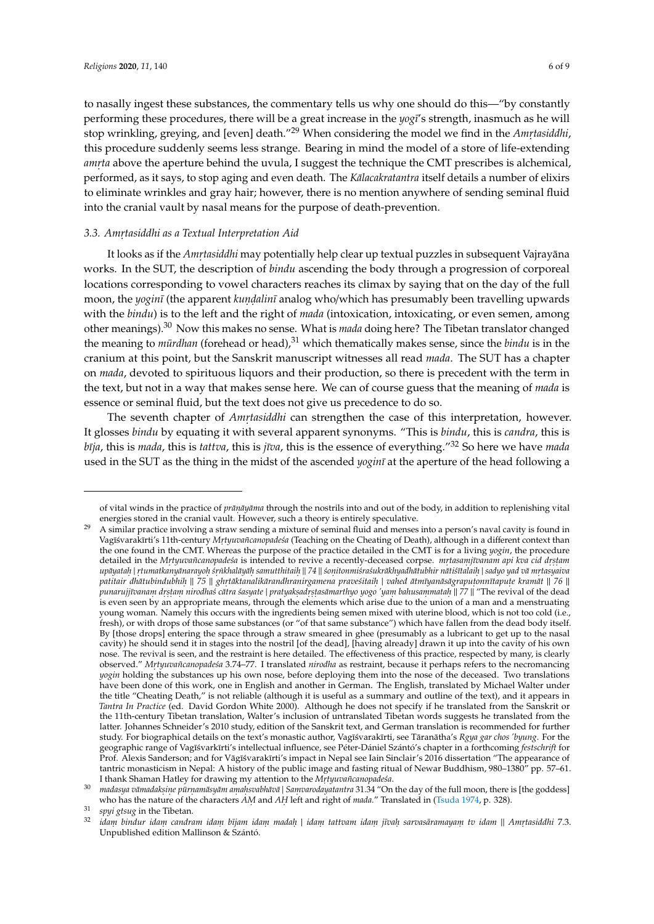to nasally ingest these substances, the commentary tells us why one should do this—"by constantly performing these procedures, there will be a great increase in the *yog¯ı*'s strength, inasmuch as he will stop wrinkling, greying, and [even] death."<sup>29</sup> When considering the model we find in the *Amrtasiddhi*, this procedure suddenly seems less strange. Bearing in mind the model of a store of life-extending amrta above the aperture behind the uvula, I suggest the technique the CMT prescribes is alchemical, performed, as it says, to stop aging and even death. The *Kalacakratantra* itself details a number of elixirs to eliminate wrinkles and gray hair; however, there is no mention anywhere of sending seminal fluid into the cranial vault by nasal means for the purpose of death-prevention.

## *3.3. Amr. tasiddhi as a Textual Interpretation Aid*

It looks as if the *Amṛtasiddhi* may potentially help clear up textual puzzles in subsequent Vajrayāna works. In the SUT, the description of *bindu* ascending the body through a progression of corporeal locations corresponding to vowel characters reaches its climax by saying that on the day of the full moon, the *yogin¯ı* (the apparent *kun. d. alin¯ı* analog who/which has presumably been travelling upwards with the *bindu*) is to the left and the right of *mada* (intoxication, intoxicating, or even semen, among other meanings).<sup>30</sup> Now this makes no sense. What is *mada* doing here? The Tibetan translator changed the meaning to *mūrdhan* (forehead or head),<sup>31</sup> which thematically makes sense, since the *bindu* is in the cranium at this point, but the Sanskrit manuscript witnesses all read *mada*. The SUT has a chapter on *mada*, devoted to spirituous liquors and their production, so there is precedent with the term in the text, but not in a way that makes sense here. We can of course guess that the meaning of *mada* is essence or seminal fluid, but the text does not give us precedence to do so.

The seventh chapter of *Amr<sub>tasiddhi* can strengthen the case of this interpretation, however.</sub> It glosses *bindu* by equating it with several apparent synonyms. "This is *bindu*, this is *candra*, this is *b¯ıja*, this is *mada*, this is *tattva*, this is *j¯ıva*, this is the essence of everything."<sup>32</sup> So here we have *mada* used in the SUT as the thing in the midst of the ascended *yoginī* at the aperture of the head following a

of vital winds in the practice of *prāṇāyāma* through the nostrils into and out of the body, in addition to replenishing vital energies stored in the cranial vault. However, such a theory is entirely speculative.

<sup>29</sup> A similar practice involving a straw sending a mixture of seminal fluid and menses into a person's naval cavity is found in Vagīśvarakīrti's 11th-century *Mṛtyuvañcanopadeśa* (Teaching on the Cheating of Death), although in a different context than the one found in the CMT. Whereas the purpose of the practice detailed in the CMT is for a living *yogin*, the procedure detailed in the *Mrtyuvañcanopadeśa* is intended to revive a recently-deceased corpse. *mrtasamjīvanam api kva cid drstam* upāyatah | rtumatkanyānarayoh śrnkhalāyāh samutthitaih || 74 || śonitonmiśraśukrākhyadhātubhir nātiśītalaih | sadyo yad vā mrtasyaiva patitair dhātubindubhih || 75 || ghrtāktanalikārandhranirgamena praveśitaiḥ | vahed ātmīyanāsāgrapuṭonnītapuṭe kramāt || 76 || punarujjīvanam drstam nirodhaś cātra śasyate | pratyakṣadṛṣṭasāmarthyo yogo 'yam bahusammataḥ || 77 || "The revival of the dead is even seen by an appropriate means, through the elements which arise due to the union of a man and a menstruating young woman. Namely this occurs with the ingredients being semen mixed with uterine blood, which is not too cold (i.e., fresh), or with drops of those same substances (or "of that same substance") which have fallen from the dead body itself. By [those drops] entering the space through a straw smeared in ghee (presumably as a lubricant to get up to the nasal cavity) he should send it in stages into the nostril [of the dead], [having already] drawn it up into the cavity of his own nose. The revival is seen, and the restraint is here detailed. The effectiveness of this practice, respected by many, is clearly observed." *Mr. tyuvañcanopade´sa* 3.74–77. I translated *nirodha* as restraint, because it perhaps refers to the necromancing *yogin* holding the substances up his own nose, before deploying them into the nose of the deceased. Two translations have been done of this work, one in English and another in German. The English, translated by Michael Walter under the title "Cheating Death," is not reliable (although it is useful as a summary and outline of the text), and it appears in *Tantra In Practice* (ed. David Gordon White 2000). Although he does not specify if he translated from the Sanskrit or the 11th-century Tibetan translation, Walter's inclusion of untranslated Tibetan words suggests he translated from the latter. Johannes Schneider's 2010 study, edition of the Sanskrit text, and German translation is recommended for further study. For biographical details on the text's monastic author, Vagīśvarakīrti, see Tāranātha's Rgya gar chos 'byung. For the geographic range of Vagīśvarkīrti's intellectual influence, see Péter-Dániel Szántó's chapter in a forthcoming *festschrift* for Prof. Alexis Sanderson; and for Vāgī svarakīrti's impact in Nepal see Iain Sinclair's 2016 dissertation "The appearance of tantric monasticism in Nepal: A history of the public image and fasting ritual of Newar Buddhism, 980–1380" pp. 57–61. I thank Shaman Hatley for drawing my attention to the *Mrtyuvañcanopadeśa*.

<sup>&</sup>lt;sup>30</sup>madasya vāmadaksine pūrnamāsyām amahsvabhāvā|Samvarodayatantra 31.34 "On the day of the full moon, there is [the goddess] who has the nature of the characters *AM.* and *AH.* left and right of *mada.*" Translated in [\(Tsuda](#page-8-9) [1974,](#page-8-9) p. 328).

<sup>31</sup> *spyi gtsug* in the Tibetan.

<sup>&</sup>lt;sup>32</sup>idam bindur idam candram idam bījam idam madah | idam tattvam idam jīvah sarvasāramayam tv idam || Amrtasiddhi 7.3. Unpublished edition Mallinson & Szántó.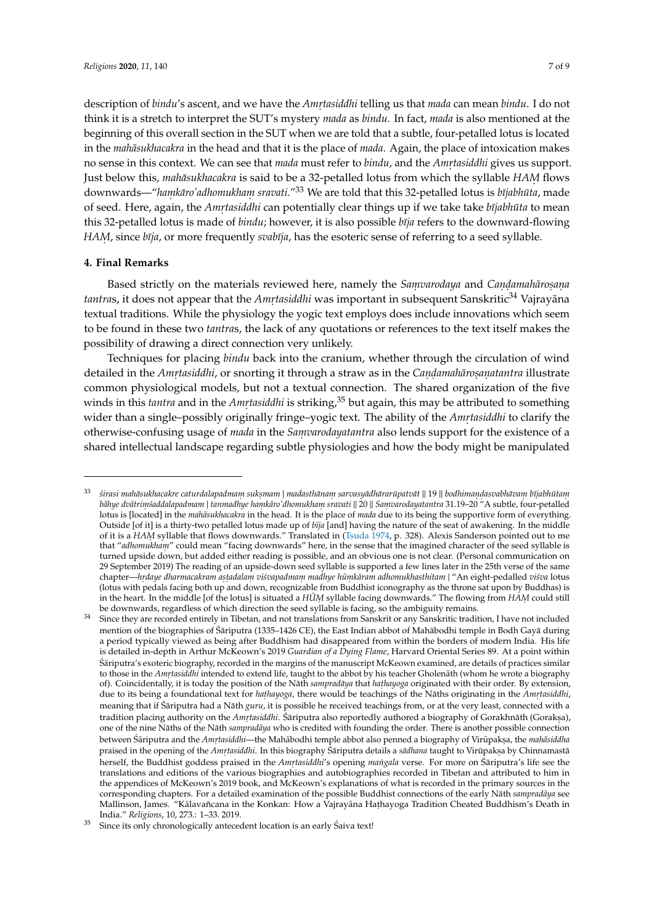description of *bindu'*s ascent, and we have the *Amrٖtasiddhi* telling us that *mada* can mean *bindu*. I do not think it is a stretch to interpret the SUT's mystery *mada* as *bindu*. In fact, *mada* is also mentioned at the beginning of this overall section in the SUT when we are told that a subtle, four-petalled lotus is located *in the mahāsukhacakra* in the head and that it is the place of *mada*. Again, the place of intoxication makes no sense in this context. We can see that *mada* must refer to *bindu*, and the *Amr. tasiddhi* gives us support. Just below this, *mahāsukhacakra* is said to be a 32-petalled lotus from which the syllable *HAM* flows downwards—"*hamkāro'adhomukham sravati."*<sup>33</sup> We are told that this 32-petalled lotus is *bījabhūta*, made of seed. Here, again, the *Amṛtasiddhi* can potentially clear things up if we take take *bījabhūta* to mean this 32-petalled lotus is made of *bindu*; however, it is also possible *bīja* refers to the downward-flowing *HAM,* since *bīja*, or more frequently *svabīja*, has the esoteric sense of referring to a seed syllable.

#### **4. Final Remarks**

Based strictly on the materials reviewed here, namely the *Samvarodaya* and *Candamahārosana tantra*s, it does not appear that the *Amrtasiddhi* was important in subsequent Sanskritic<sup>34</sup> Vajrayāna textual traditions. While the physiology the yogic text employs does include innovations which seem to be found in these two *tantra*s, the lack of any quotations or references to the text itself makes the possibility of drawing a direct connection very unlikely.

Techniques for placing *bindu* back into the cranium, whether through the circulation of wind detailed in the *Amrtasiddhi,* or snorting it through a straw as in the *Candamahārosanatantra* illustrate common physiological models, but not a textual connection. The shared organization of the five winds in this *tantra* and in the *Amrtasiddhi* is striking,<sup>35</sup> but again, this may be attributed to something wider than a single–possibly originally fringe–yogic text. The ability of the *Amrtasiddhi* to clarify the otherwise-confusing usage of *mada* in the *Samvarodayatantra* also lends support for the existence of a shared intellectual landscape regarding subtle physiologies and how the body might be manipulated

<sup>&</sup>lt;sup>33</sup> sirasi mahāsukhacakre caturdalapadmam suksmam | madasthānam sarvasyādhārarūpatvāt || 19 || bodhimandasvabhāvam bījabhūtam bāhye dvātrimsaddalapadmam | tanmadhye haṃkāro′dhomukhaṃ sravati || 20 || Saṃvarodayatantra 31.19–20 "A subtle, four-petalled lotus is [located] in the *mahasukhacakra* in the head. It is the place of *mada* due to its being the supportive form of everything. Outside [of it] is a thirty-two petalled lotus made up of *bīja* [and] having the nature of the seat of awakening. In the middle of it is a *HAM* syllable that flows downwards." Translated in [\(Tsuda](#page-8-9) [1974,](#page-8-9) p. 328). Alexis Sanderson pointed out to me that "*adhomukham*" could mean "facing downwards" here, in the sense that the imagined character of the seed syllable is turned upside down, but added either reading is possible, and an obvious one is not clear. (Personal communication on 29 September 2019) The reading of an upside-down seed syllable is supported a few lines later in the 25th verse of the same chapter—*hrdaye dharmacakram astadalam viśvapadmam madhye hūmkāram adhomukhasthitam | "An eight-pedalled <i>viśva* lotus (lotus with pedals facing both up and down, recognizable from Buddhist iconography as the throne sat upon by Buddhas) is in the heart. In the middle [of the lotus] is situated a *HUM* syllable facing downwards." The flowing from *HAM* could still be downwards, regardless of which direction the seed syllable is facing, so the ambiguity remains.

Since they are recorded entirely in Tibetan, and not translations from Sanskrit or any Sanskritic tradition, I have not included mention of the biographies of Śāriputra (1335–1426 CE), the East Indian abbot of Mahābodhi temple in Bodh Gayā during a period typically viewed as being after Buddhism had disappeared from within the borders of modern India. His life is detailed in-depth in Arthur McKeown's 2019 *Guardian of a Dying Flame*, Harvard Oriental Series 89. At a point within S´ariputra's exoteric biography, recorded in the margins of the manuscript McKeown examined, are details of practices similar ¯ to those in the *Amrtasiddhi* intended to extend life, taught to the abbot by his teacher Gholenath (whom he wrote a biography of). Coincidentally, it is today the position of the Nath sampradaya that hathayoga originated with their order. By extension, due to its being a foundational text for *hathayoga,* there would be teachings of the Nāths originating in the *Amrtasiddhi*, meaning that if Sariputra had a Nath *guru*, it is possible he received teachings from, or at the very least, connected with a tradition placing authority on the *Amrtasiddhi*. Śāriputra also reportedly authored a biography of Gorakhnāth (Goraksa), one of the nine Nāths of the Nāth *sampradāya* who is credited with founding the order. There is another possible connection between Śāriputra and the *Amrٖtasiddhi—*the Mahābodhi temple abbot also penned a biography of Virūpakṣa, the *mahāsiddha* praised in the opening of the *Amrtasiddhi*. In this biography Śāriputra details a s*ādhana* taught to Virūpakṣa by Chinnamastā herself, the Buddhist goddess praised in the *Amrtasiddhi's* opening *mangala* verse. For more on Sariputra's life see the translations and editions of the various biographies and autobiographies recorded in Tibetan and attributed to him in the appendices of McKeown's 2019 book, and McKeown's explanations of what is recorded in the primary sources in the corresponding chapters. For a detailed examination of the possible Buddhist connections of the early Nāth sampradāya see Mallinson, James. "Kālavañcana in the Konkan: How a Vajrayāna Hathayoga Tradition Cheated Buddhism's Death in India." *Religions*, 10, 273.: 1–33. 2019.

 $35$  Since its only chronologically antecedent location is an early Saiva text!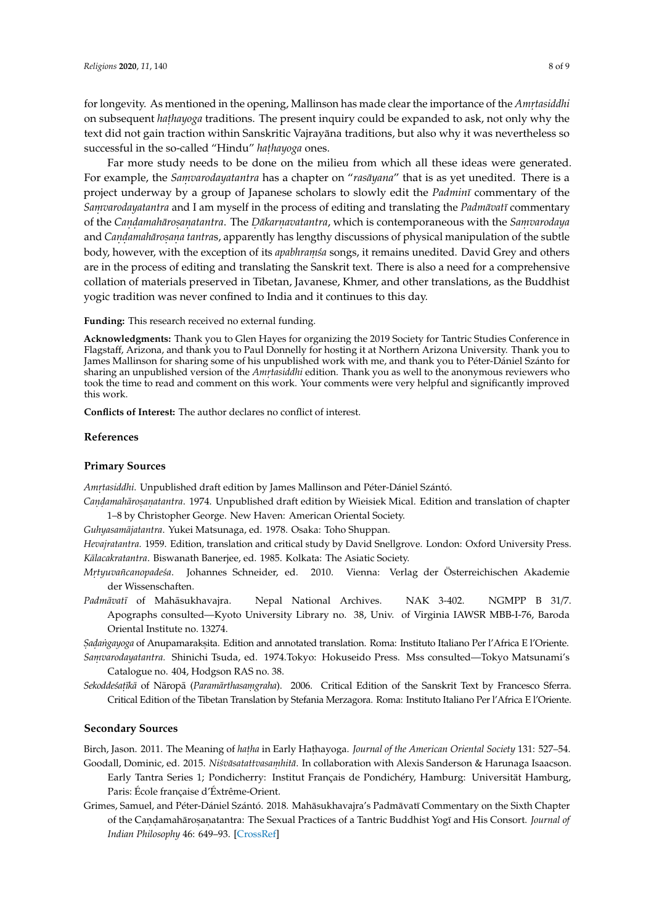for longevity. As mentioned in the opening, Mallinson has made clear the importance of the *Amrtasiddhi* on subsequent *hathayoga* traditions. The present inquiry could be expanded to ask, not only why the text did not gain traction within Sanskritic Vajrayāna traditions, but also why it was nevertheless so successful in the so-called "Hindu" hathayoga ones.

Far more study needs to be done on the milieu from which all these ideas were generated. For example, the *Samvarodayatantra* has a chapter on "*rasayana*" that is as yet unedited. There is a project underway by a group of Japanese scholars to slowly edit the *Padmin¯ı* commentary of the *Samvarodayatantra* and I am myself in the process of editing and translating the *Padmāvatī* commentary of the *Candamahārosanatantra*. The *Dākarnavatantra,* which is contemporaneous with the *Samvarodaya* and *Candamahāroṣaṇa tantras,* apparently has lengthy discussions of physical manipulation of the subtle body, however, with the exception of its *apabhraṃśa* songs, it remains unedited. David Grey and others are in the process of editing and translating the Sanskrit text. There is also a need for a comprehensive collation of materials preserved in Tibetan, Javanese, Khmer, and other translations, as the Buddhist yogic tradition was never confined to India and it continues to this day.

**Funding:** This research received no external funding.

**Acknowledgments:** Thank you to Glen Hayes for organizing the 2019 Society for Tantric Studies Conference in Flagstaff, Arizona, and thank you to Paul Donnelly for hosting it at Northern Arizona University. Thank you to James Mallinson for sharing some of his unpublished work with me, and thank you to Péter-Dániel Szánto for sharing an unpublished version of the *Amrtasiddhi* edition. Thank you as well to the anonymous reviewers who took the time to read and comment on this work. Your comments were very helpful and significantly improved this work.

**Conflicts of Interest:** The author declares no conflict of interest.

#### **References**

#### **Primary Sources**

*Amr. tasiddhi*. Unpublished draft edition by James Mallinson and Péter-Dániel Szántó.

*Can. d. amaharo ¯ s. an. atantra*. 1974. Unpublished draft edition by Wieisiek Mical. Edition and translation of chapter 1–8 by Christopher George. New Haven: American Oriental Society.

*Guhyasamajatantra ¯* . Yukei Matsunaga, ed. 1978. Osaka: Toho Shuppan.

*Hevajratantra*. 1959. Edition, translation and critical study by David Snellgrove. London: Oxford University Press. *Kālacakratantra*. Biswanath Banerjee, ed. 1985. Kolkata: The Asiatic Society.

- Mrtuuvañcanopadeśa. *tyuvañcanopade´sa*. Johannes Schneider, ed. 2010. Vienna: Verlag der Österreichischen Akademie der Wissenschaften.
- Padmāvatī of Mahāsukhavajra. Nepal National Archives. NAK 3-402. NGMPP B 31/7. Apographs consulted—Kyoto University Library no. 38, Univ. of Virginia IAWSR MBB-I-76, Baroda Oriental Institute no. 13274.

*Sadangayoga* of Anupamaraksita. Edition and annotated translation. Roma: Instituto Italiano Per l'Africa E l'Oriente.

- *Sam. varodayatantra.* Shinichi Tsuda, ed. 1974.Tokyo: Hokuseido Press. Mss consulted—Tokyo Matsunami's Catalogue no. 404, Hodgson RAS no. 38.
- *Sekoddeśațikā* of Nāropā (*Paramārthasaṃgraha*). 2006. Critical Edition of the Sanskrit Text by Francesco Sferra. Critical Edition of the Tibetan Translation by Stefania Merzagora. Roma: Instituto Italiano Per l'Africa E l'Oriente.

#### **Secondary Sources**

<span id="page-7-1"></span><span id="page-7-0"></span>Birch, Jason. 2011. The Meaning of *hat .ha* in Early Hat.hayoga. *Journal of the American Oriental Society* 131: 527–54. Goodall, Dominic, ed. 2015. *Niśvāsatattvasamhitā*. In collaboration with Alexis Sanderson & Harunaga Isaacson.

- Early Tantra Series 1; Pondicherry: Institut Français de Pondichéry, Hamburg: Universität Hamburg, Paris: École française d'Éxtrême-Orient.
- <span id="page-7-2"></span>Grimes, Samuel, and Péter-Dániel Szántó. 2018. Mahāsukhavajra's Padmāvatī Commentary on the Sixth Chapter of the Caṇḍamahāroṣaṇatantra: The Sexual Practices of a Tantric Buddhist Yogī and His Consort. *Journal of Indian Philosophy* 46: 649–93. [\[CrossRef\]](http://dx.doi.org/10.1007/s10781-018-9357-3)